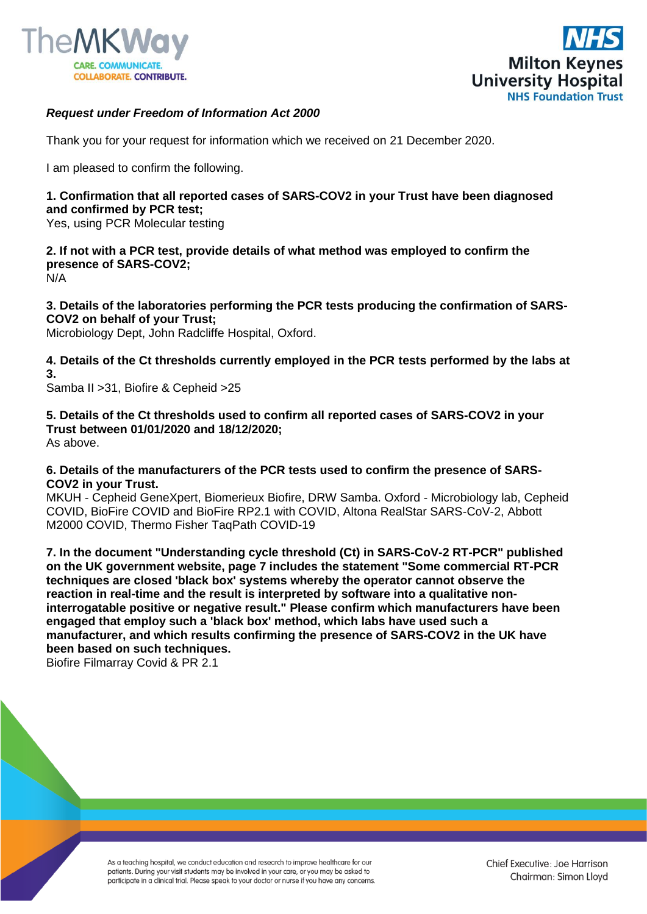



## *Request under Freedom of Information Act 2000*

Thank you for your request for information which we received on 21 December 2020.

I am pleased to confirm the following.

## **1. Confirmation that all reported cases of SARS-COV2 in your Trust have been diagnosed and confirmed by PCR test;**

Yes, using PCR Molecular testing

**2. If not with a PCR test, provide details of what method was employed to confirm the presence of SARS-COV2;**  N/A

**3. Details of the laboratories performing the PCR tests producing the confirmation of SARS-COV2 on behalf of your Trust;** 

Microbiology Dept, John Radcliffe Hospital, Oxford.

**4. Details of the Ct thresholds currently employed in the PCR tests performed by the labs at 3.**

Samba II >31, Biofire & Cepheid >25

**5. Details of the Ct thresholds used to confirm all reported cases of SARS-COV2 in your Trust between 01/01/2020 and 18/12/2020;** 

As above.

## **6. Details of the manufacturers of the PCR tests used to confirm the presence of SARS-COV2 in your Trust.**

MKUH - Cepheid GeneXpert, Biomerieux Biofire, DRW Samba. Oxford - Microbiology lab, Cepheid COVID, BioFire COVID and BioFire RP2.1 with COVID, Altona RealStar SARS-CoV-2, Abbott M2000 COVID, Thermo Fisher TaqPath COVID-19

**7. In the document "Understanding cycle threshold (Ct) in SARS-CoV-2 RT-PCR" published on the UK government website, page 7 includes the statement "Some commercial RT-PCR techniques are closed 'black box' systems whereby the operator cannot observe the reaction in real-time and the result is interpreted by software into a qualitative noninterrogatable positive or negative result." Please confirm which manufacturers have been engaged that employ such a 'black box' method, which labs have used such a manufacturer, and which results confirming the presence of SARS-COV2 in the UK have been based on such techniques.** 

Biofire Filmarray Covid & PR 2.1

As a teaching hospital, we conduct education and research to improve healthcare for our patients. During your visit students may be involved in your care, or you may be asked to participate in a clinical trial. Please speak to your doctor or nurse if you have any concerns.